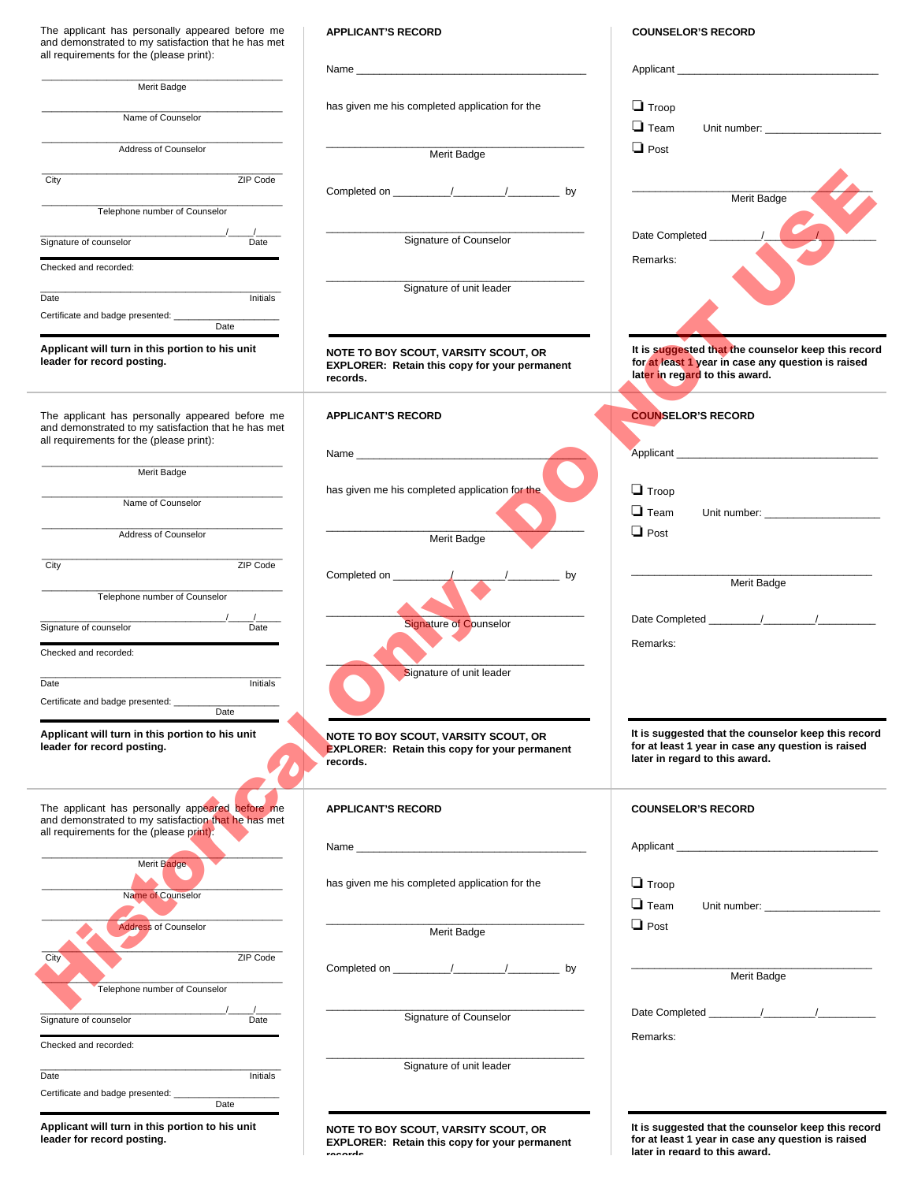The applicant has personally appeared before me and demonstrated to my satisfaction that he has met all requirements for the (please print):

| Merit Badge                   |          |
|-------------------------------|----------|
|                               |          |
| Name of Counselor             |          |
|                               |          |
| Address of Counselor          |          |
|                               |          |
| City                          | ZIP Code |
|                               |          |
| Telephone number of Counselor |          |
|                               |          |

|      | Merit Badge                   |          |
|------|-------------------------------|----------|
|      | Name of Counselor             |          |
|      | Address of Counselor          |          |
| City |                               | ZIP Code |
|      | Telephone number of Counselor |          |
|      | Signature of counselor        | Date     |

| Date | Initials |
|------|----------|

| Applicant will turn in this portion to his unit |  |
|-------------------------------------------------|--|
| .                                               |  |

**leader for record posting.**

## **APPLICANT'S RECORD**

| Name                                           |  |
|------------------------------------------------|--|
|                                                |  |
| has given me his completed application for the |  |

| <b>APPLICANT'S RECORD</b> |  |
|---------------------------|--|
|---------------------------|--|



**NOTE TO BOY SCOUT, VARSITY SCOUT, OR EXPLORER: Retain this copy for your permanent records.**

**COUNSELOR'S RECORD**

| Merit Badge                                                                                                                                        |                                                                                                          |                                                                                                                                             |
|----------------------------------------------------------------------------------------------------------------------------------------------------|----------------------------------------------------------------------------------------------------------|---------------------------------------------------------------------------------------------------------------------------------------------|
| Name of Counselor                                                                                                                                  | has given me his completed application for the                                                           | $\Box$ Troop                                                                                                                                |
|                                                                                                                                                    |                                                                                                          | $\Box$ Team                                                                                                                                 |
| Address of Counselor                                                                                                                               | Merit Badge                                                                                              | $\Box$ Post                                                                                                                                 |
| City<br>ZIP Code                                                                                                                                   |                                                                                                          |                                                                                                                                             |
|                                                                                                                                                    |                                                                                                          | Merit Badge                                                                                                                                 |
| Telephone number of Counselor                                                                                                                      |                                                                                                          |                                                                                                                                             |
| Signature of counselor<br>Date                                                                                                                     | Signature of Counselor                                                                                   | Date Completed _                                                                                                                            |
| Checked and recorded:                                                                                                                              |                                                                                                          | Remarks:                                                                                                                                    |
|                                                                                                                                                    | Signature of unit leader                                                                                 |                                                                                                                                             |
| Initials<br>Date                                                                                                                                   |                                                                                                          |                                                                                                                                             |
| Certificate and badge presented: ____<br>Date                                                                                                      |                                                                                                          |                                                                                                                                             |
| Applicant will turn in this portion to his unit<br>leader for record posting.                                                                      | NOTE TO BOY SCOUT, VARSITY SCOUT, OR<br><b>EXPLORER: Retain this copy for your permanent</b><br>records. | It is suggested that the counselor keep this record<br>for at least 1 year in case any question is raised<br>later in regard to this award. |
| The applicant has personally appeared before me                                                                                                    | <b>APPLICANT'S RECORD</b>                                                                                | <b>COUNSELOR'S RECORD</b>                                                                                                                   |
| and demonstrated to my satisfaction that he has met<br>all requirements for the (please print):                                                    |                                                                                                          |                                                                                                                                             |
|                                                                                                                                                    |                                                                                                          |                                                                                                                                             |
| Merit Badge                                                                                                                                        | has given me his completed application for the                                                           | $\Box$ Troop                                                                                                                                |
| Name of Counselor                                                                                                                                  |                                                                                                          | $\Box$ Team<br>Unit number: _________________________                                                                                       |
| Address of Counselor                                                                                                                               | Merit Badge                                                                                              | $\Box$ Post                                                                                                                                 |
|                                                                                                                                                    |                                                                                                          |                                                                                                                                             |
| ZIP Code<br>City                                                                                                                                   | Completed on __<br>by                                                                                    | Merit Badge                                                                                                                                 |
| Telephone number of Counselor                                                                                                                      |                                                                                                          |                                                                                                                                             |
|                                                                                                                                                    | <b>Signature of Counselor</b>                                                                            |                                                                                                                                             |
| Signature of counselor<br>Date                                                                                                                     |                                                                                                          | Remarks:                                                                                                                                    |
| Checked and recorded:                                                                                                                              |                                                                                                          |                                                                                                                                             |
| Initials<br>Date                                                                                                                                   | Signature of unit leader                                                                                 |                                                                                                                                             |
| Certificate and badge presented: ______<br>Date                                                                                                    |                                                                                                          |                                                                                                                                             |
|                                                                                                                                                    |                                                                                                          |                                                                                                                                             |
| Applicant will turn in this portion to his unit<br>leader for record posting.                                                                      | NOTE TO BOY SCOUT, VARSITY SCOUT, OR<br><b>EXPLORER: Retain this copy for your permanent</b><br>records. | It is suggested that the counselor keep this record<br>for at least 1 year in case any question is raised<br>later in regard to this award. |
| The applicant has personally appeared before me<br>and demonstrated to my satisfaction that he has met<br>all requirements for the (please print): | <b>APPLICANT'S RECORD</b>                                                                                | <b>COUNSELOR'S RECORD</b>                                                                                                                   |
|                                                                                                                                                    |                                                                                                          |                                                                                                                                             |
| Merit Badge                                                                                                                                        |                                                                                                          |                                                                                                                                             |
| Name of Counselor                                                                                                                                  | has given me his completed application for the                                                           | $\Box$ Troop                                                                                                                                |
|                                                                                                                                                    |                                                                                                          | $\Box$ Team                                                                                                                                 |
| <b>Address of Counselor</b>                                                                                                                        | Merit Badge                                                                                              | $\Box$ Post                                                                                                                                 |
| ZIP Code<br>City <sup>®</sup>                                                                                                                      |                                                                                                          |                                                                                                                                             |
| Telephone number of Counselor                                                                                                                      |                                                                                                          | Merit Badge                                                                                                                                 |
|                                                                                                                                                    |                                                                                                          |                                                                                                                                             |
| Date<br>Signature of counselor                                                                                                                     | Signature of Counselor                                                                                   | Remarks:                                                                                                                                    |
| Checked and recorded:                                                                                                                              |                                                                                                          |                                                                                                                                             |
| Initials<br>Date                                                                                                                                   | Signature of unit leader                                                                                 |                                                                                                                                             |
| Certificate and badge presented: _____                                                                                                             |                                                                                                          |                                                                                                                                             |
| Date                                                                                                                                               |                                                                                                          |                                                                                                                                             |
| Applicant will turn in this portion to his unit                                                                                                    | NOTE TO BOY SCOUT VARSITY SCOUT OR                                                                       | It is suggested that the counselor keep this record                                                                                         |

**for at least 1 year in case any question is raised**

**later in regard to this award.**